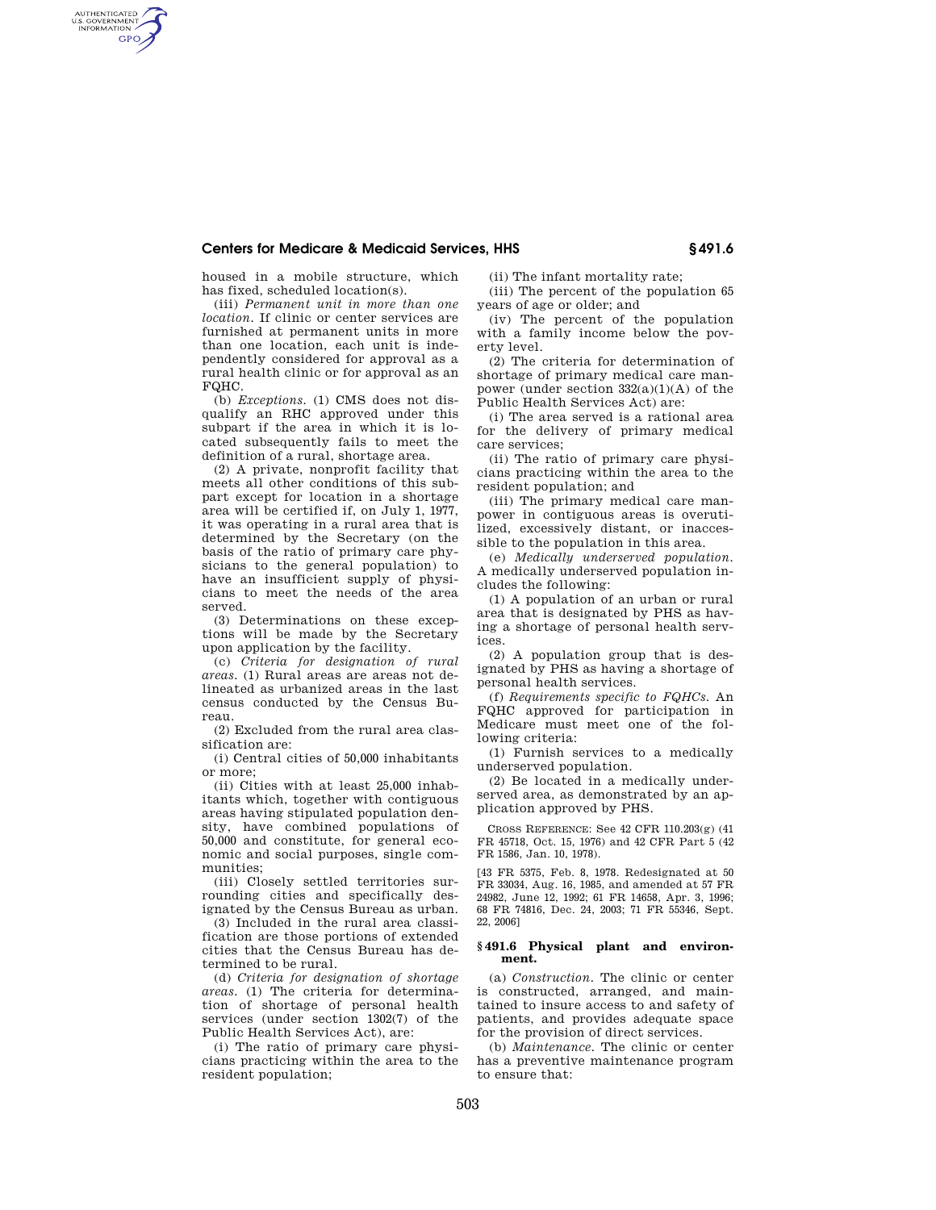## **Centers for Medicare & Medicaid Services, HHS § 491.6**

housed in a mobile structure, which has fixed, scheduled location(s).

AUTHENTICATED<br>U.S. GOVERNMENT<br>INFORMATION **GPO** 

> (iii) *Permanent unit in more than one location.* If clinic or center services are furnished at permanent units in more than one location, each unit is independently considered for approval as a rural health clinic or for approval as an FQHC.

> (b) *Exceptions.* (1) CMS does not disqualify an RHC approved under this subpart if the area in which it is located subsequently fails to meet the definition of a rural, shortage area.

> (2) A private, nonprofit facility that meets all other conditions of this subpart except for location in a shortage area will be certified if, on July 1, 1977, it was operating in a rural area that is determined by the Secretary (on the basis of the ratio of primary care physicians to the general population) to have an insufficient supply of physicians to meet the needs of the area served.

> (3) Determinations on these exceptions will be made by the Secretary upon application by the facility.

> (c) *Criteria for designation of rural areas.* (1) Rural areas are areas not delineated as urbanized areas in the last census conducted by the Census Bureau.

> (2) Excluded from the rural area classification are:

> (i) Central cities of 50,000 inhabitants or more;

(ii) Cities with at least 25,000 inhabitants which, together with contiguous areas having stipulated population density, have combined populations of 50,000 and constitute, for general economic and social purposes, single communities;

(iii) Closely settled territories surrounding cities and specifically designated by the Census Bureau as urban.

(3) Included in the rural area classification are those portions of extended cities that the Census Bureau has determined to be rural.

(d) *Criteria for designation of shortage areas.* (1) The criteria for determination of shortage of personal health services (under section 1302(7) of the Public Health Services Act), are:

(i) The ratio of primary care physicians practicing within the area to the resident population;

(ii) The infant mortality rate; (iii) The percent of the population 65 years of age or older; and

(iv) The percent of the population with a family income below the poverty level.

(2) The criteria for determination of shortage of primary medical care manpower (under section  $332(a)(1)(A)$  of the Public Health Services Act) are:

(i) The area served is a rational area for the delivery of primary medical care services;

(ii) The ratio of primary care physicians practicing within the area to the resident population; and

(iii) The primary medical care manpower in contiguous areas is overutilized, excessively distant, or inaccessible to the population in this area.

(e) *Medically underserved population.*  A medically underserved population includes the following:

(1) A population of an urban or rural area that is designated by PHS as having a shortage of personal health services.

(2) A population group that is designated by PHS as having a shortage of personal health services.

(f) *Requirements specific to FQHCs.* An FQHC approved for participation in Medicare must meet one of the following criteria:

(1) Furnish services to a medically underserved population.

(2) Be located in a medically underserved area, as demonstrated by an application approved by PHS.

CROSS REFERENCE: See 42 CFR 110.203(g) (41 FR 45718, Oct. 15, 1976) and 42 CFR Part 5 (42 FR 1586, Jan. 10, 1978).

[43 FR 5375, Feb. 8, 1978. Redesignated at 50 FR 33034, Aug. 16, 1985, and amended at 57 FR 24982, June 12, 1992; 61 FR 14658, Apr. 3, 1996; 68 FR 74816, Dec. 24, 2003; 71 FR 55346, Sept. 22, 2006]

### **§ 491.6 Physical plant and environment.**

(a) *Construction.* The clinic or center is constructed, arranged, and maintained to insure access to and safety of patients, and provides adequate space for the provision of direct services.

(b) *Maintenance.* The clinic or center has a preventive maintenance program to ensure that: